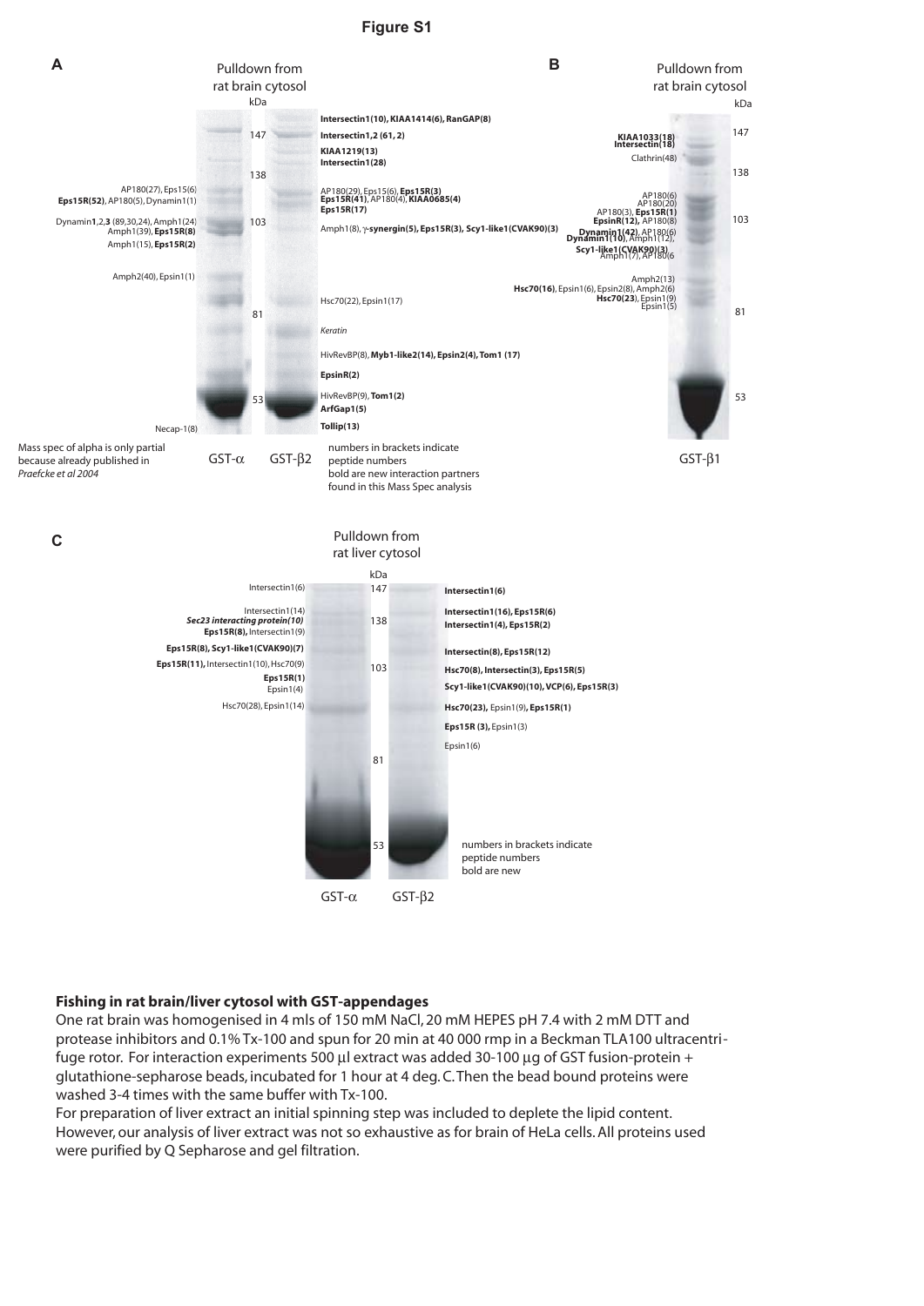### **Figure S1**



#### **Fishing in rat brain/liver cytosol with GST-appendages**

One rat brain was homogenised in 4 mls of 150 mM NaCl, 20 mM HEPES pH 7.4 with 2 mM DTT and protease inhibitors and 0.1% Tx-100 and spun for 20 min at 40 000 rmp in a Beckman TLA100 ultracentrifuge rotor. For interaction experiments 500 µl extract was added 30-100 µg of GST fusion-protein + glutathione-sepharose beads, incubated for 1 hour at 4 deg. C. Then the bead bound proteins were washed 3-4 times with the same buffer with Tx-100.

GST-α GST-β<sup>2</sup>

For preparation of liver extract an initial spinning step was included to deplete the lipid content. However, our analysis of liver extract was not so exhaustive as for brain of HeLa cells. All proteins used were purified by Q Sepharose and gel filtration.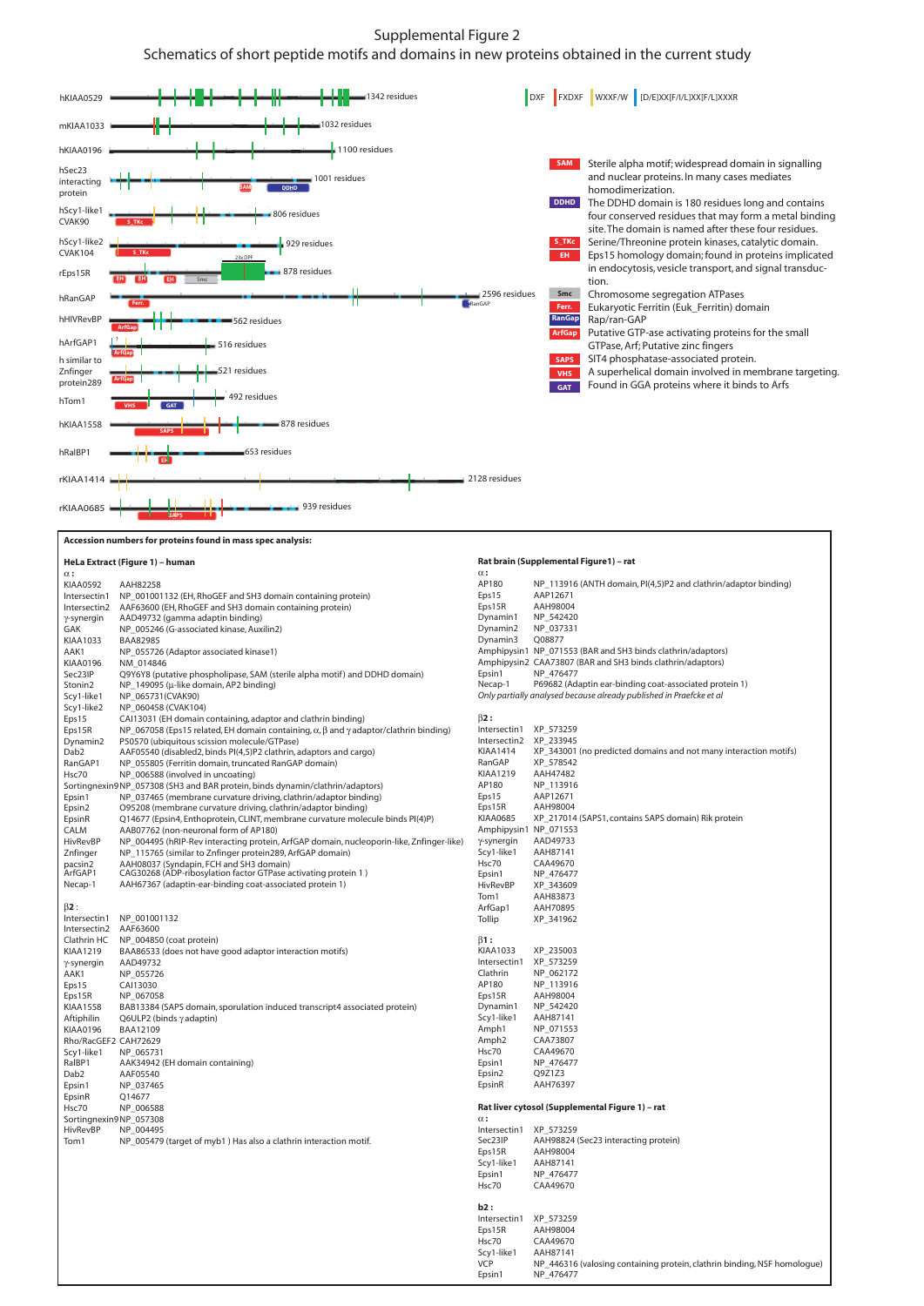#### Supplemental Figure 2

## Schematics of short peptide motifs and domains in new proteins obtained in the current study



**Accession numbers for proteins found in mass spec analysis:** 

#### **HeLa Extract (Figure 1) – human**

| HeLa Extract (Figure 1) – human |                                                                                                           | Rat brain (Supplemental Figure 1) - rat |                                                                             |
|---------------------------------|-----------------------------------------------------------------------------------------------------------|-----------------------------------------|-----------------------------------------------------------------------------|
| $\alpha$ :                      |                                                                                                           | $\alpha$ :<br>AP180                     |                                                                             |
| KIAA0592                        | AAH82258                                                                                                  | Eps15                                   | NP_113916 (ANTH domain, PI(4,5)P2 and clathrin/adaptor binding)<br>AAP12671 |
| Intersectin1                    | NP_001001132 (EH, RhoGEF and SH3 domain containing protein)                                               | Eps15R                                  | AAH98004                                                                    |
| Intersectin2                    | AAF63600 (EH, RhoGEF and SH3 domain containing protein)                                                   | Dynamin1                                | NP_542420                                                                   |
| γ-synergin<br>GAK               | AAD49732 (gamma adaptin binding)<br>NP 005246 (G-associated kinase, Auxilin2)                             | Dynamin2                                | NP_037331                                                                   |
| KIAA1033                        | <b>BAA82985</b>                                                                                           | Dynamin3                                | Q08877                                                                      |
| AAK1                            | NP_055726 (Adaptor associated kinase1)                                                                    |                                         | Amphipysin1 NP_071553 (BAR and SH3 binds clathrin/adaptors)                 |
| KIAA0196                        | NM 014846                                                                                                 |                                         | Amphipysin2 CAA73807 (BAR and SH3 binds clathrin/adaptors)                  |
| Sec23IP                         | Q9Y6Y8 (putative phospholipase, SAM (sterile alpha motif) and DDHD domain)                                | Epsin1                                  | NP 476477                                                                   |
| Stonin2                         | NP_149095 (µ-like domain, AP2 binding)                                                                    | Necap-1                                 | P69682 (Adaptin ear-binding coat-associated protein 1)                      |
| Scy1-like1                      | NP 065731(CVAK90)                                                                                         |                                         | Only partially analysed because already published in Praefcke et al         |
| Scy1-like2                      | NP_060458 (CVAK104)                                                                                       |                                         |                                                                             |
| Eps15                           | CAI13031 (EH domain containing, adaptor and clathrin binding)                                             | $\beta$ 2:                              |                                                                             |
| Eps15R                          | NP 067058 (Eps15 related, EH domain containing, $\alpha$ , $\beta$ and $\gamma$ adaptor/clathrin binding) | Intersectin1 XP_573259                  |                                                                             |
| Dynamin2                        | P50570 (ubiquitous scission molecule/GTPase)                                                              | Intersectin2 XP 233945                  |                                                                             |
| Dab2                            | AAF05540 (disabled2, binds PI(4,5)P2 clathrin, adaptors and cargo)                                        | <b>KIAA1414</b>                         | XP_343001 (no predicted domains and not many interaction motifs)            |
| RanGAP1                         | NP_055805 (Ferritin domain, truncated RanGAP domain)                                                      | RanGAP                                  | XP 578542                                                                   |
| Hsc70                           | NP_006588 (involved in uncoating)                                                                         | <b>KIAA1219</b>                         | AAH47482                                                                    |
|                                 | Sortingnexin9NP_057308 (SH3 and BAR protein, binds dynamin/clathrin/adaptors)                             | AP180                                   | NP_113916                                                                   |
| Epsin1                          | NP_037465 (membrane curvature driving, clathrin/adaptor binding)                                          | Eps15                                   | AAP12671                                                                    |
| Epsin2                          | O95208 (membrane curvature driving, clathrin/adaptor binding)                                             | Eps15R                                  | AAH98004                                                                    |
| EpsinR                          | Q14677 (Epsin4, Enthoprotein, CLINT, membrane curvature molecule binds PI(4)P)                            | <b>KIAA0685</b>                         | XP_217014 (SAPS1, contains SAPS domain) Rik protein                         |
| CALM                            | AAB07762 (non-neuronal form of AP180)                                                                     | Amphipysin1 NP_071553                   |                                                                             |
| HivRevBP                        | NP_004495 (hRIP-Rev interacting protein, ArfGAP domain, nucleoporin-like, Znfinger-like)                  | $\gamma$ -synergin                      | AAD49733                                                                    |
| Znfinger                        | NP_115765 (similar to Znfinger protein289, ArfGAP domain)                                                 | Scy1-like1<br>Hsc70                     | AAH87141<br>CAA49670                                                        |
| pacsin2<br>ArfGAP1              | AAH08037 (Syndapin, FCH and SH3 domain)<br>CAG30268 (ADP-ribosylation factor GTPase activating protein 1) | Epsin1                                  | NP 476477                                                                   |
| Necap-1                         | AAH67367 (adaptin-ear-binding coat-associated protein 1)                                                  | HivRevBP                                | XP_343609                                                                   |
|                                 |                                                                                                           | Tom1                                    | AAH83873                                                                    |
| $\beta$ 2 :                     |                                                                                                           | ArfGap1                                 | AAH70895                                                                    |
| Intersectin1                    | NP_001001132                                                                                              | Tollip                                  | XP_341962                                                                   |
| Intersectin2                    | AAF63600                                                                                                  |                                         |                                                                             |
| Clathrin HC                     | NP 004850 (coat protein)                                                                                  | $\beta$ 1:                              |                                                                             |
| KIAA1219                        | BAA86533 (does not have good adaptor interaction motifs)                                                  | KIAA1033                                | XP_235003                                                                   |
| γ-synergin                      | AAD49732                                                                                                  | Intersectin1                            | XP_573259                                                                   |
| AAK1                            | NP 055726                                                                                                 | Clathrin                                | NP 062172                                                                   |
| Eps15                           | CAI13030                                                                                                  | AP180                                   | NP_113916                                                                   |
| Eps15R                          | NP_067058                                                                                                 | Eps15R                                  | AAH98004                                                                    |
| KIAA1558                        | BAB13384 (SAPS domain, sporulation induced transcript4 associated protein)                                | Dynamin1                                | NP_542420                                                                   |
| Aftiphilin                      | Q6ULP2 (binds $\gamma$ adaptin)                                                                           | Scy1-like1                              | AAH87141                                                                    |
| KIAA0196                        | BAA12109                                                                                                  | Amph1                                   | NP_071553                                                                   |
| Rho/RacGEF2 CAH72629            |                                                                                                           | Amph <sub>2</sub><br>Hsc70              | CAA73807<br>CAA49670                                                        |
| Scy1-like1<br>RaIBP1            | NP_065731                                                                                                 | Epsin1                                  | NP_476477                                                                   |
| Dab2                            | AAK34942 (EH domain containing)<br>AAF05540                                                               | Epsin2                                  | Q9Z1Z3                                                                      |
| Epsin1                          | NP_037465                                                                                                 | EpsinR                                  | AAH76397                                                                    |
| EpsinR                          | Q14677                                                                                                    |                                         |                                                                             |
| Hsc70                           | NP 006588                                                                                                 |                                         | Rat liver cytosol (Supplemental Figure 1) – rat                             |
| Sortingnexin9NP_057308          |                                                                                                           | $\alpha$ :                              |                                                                             |
| HivRevBP                        | NP 004495                                                                                                 | Intersectin1 XP_573259                  |                                                                             |
| Tom1                            | NP_005479 (target of myb1) Has also a clathrin interaction motif.                                         | Sec23IP                                 | AAH98824 (Sec23 interacting protein)                                        |
|                                 |                                                                                                           | Eps15R                                  | AAH98004                                                                    |
|                                 |                                                                                                           | Scy1-like1                              | AAH87141                                                                    |
|                                 |                                                                                                           | Epsin1                                  | NP 476477                                                                   |
|                                 |                                                                                                           | Hsc70                                   | CAA49670                                                                    |
|                                 |                                                                                                           |                                         |                                                                             |
|                                 |                                                                                                           | b2:                                     |                                                                             |
|                                 |                                                                                                           | Intersectin1 XP_573259                  |                                                                             |
|                                 |                                                                                                           | Eps15R                                  | AAH98004                                                                    |
|                                 |                                                                                                           | Hsc70<br>Scy1-like1                     | CAA49670<br>AAH87141                                                        |
|                                 |                                                                                                           | <b>VCP</b>                              | NP 446316 (valosing containing protein, clathrin binding, NSF homologue)    |
|                                 |                                                                                                           | Fnsin1                                  | NP 476477                                                                   |
|                                 |                                                                                                           |                                         |                                                                             |